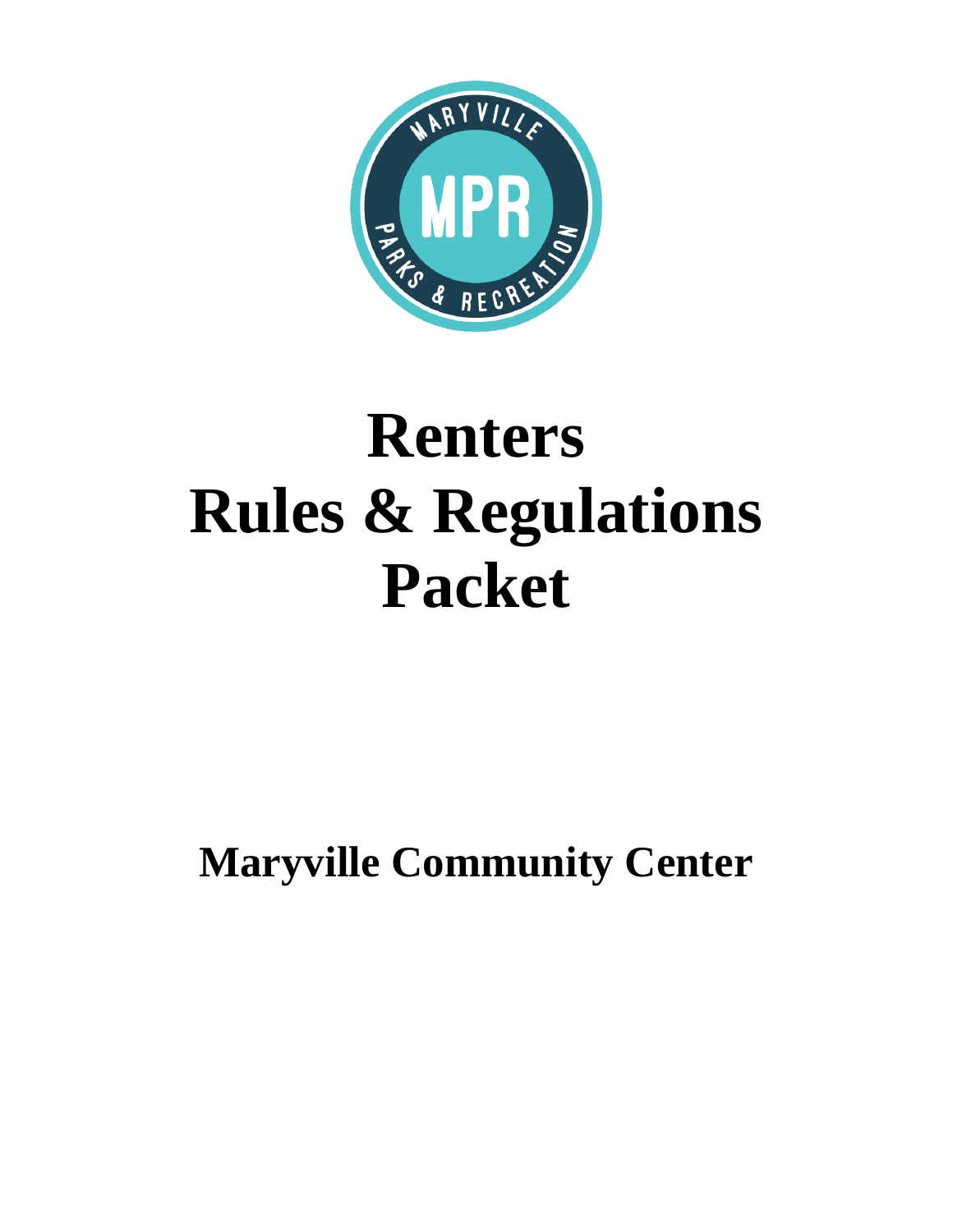

# **Renters Rules & Regulations Packet**

**Maryville Community Center**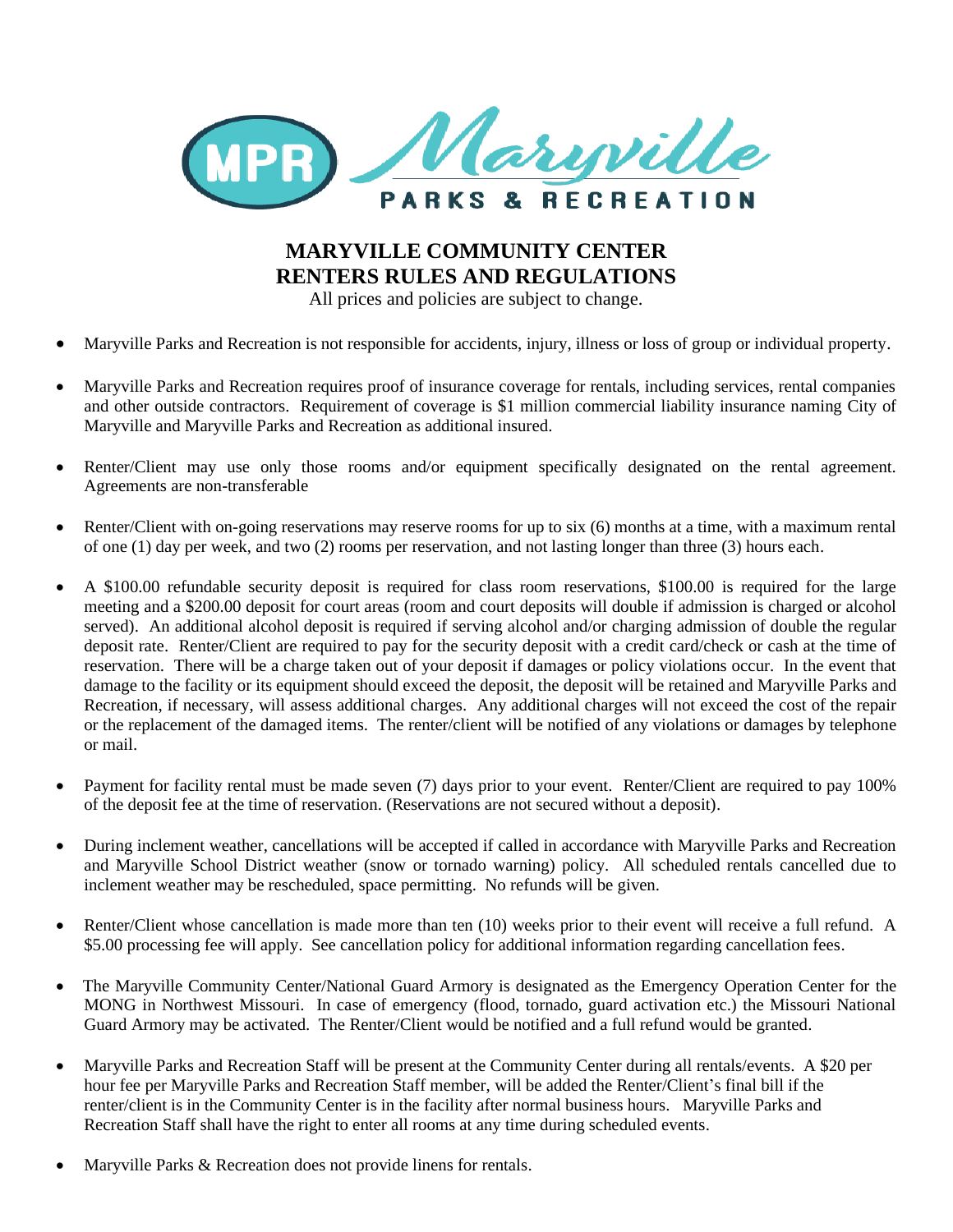

## **MARYVILLE COMMUNITY CENTER RENTERS RULES AND REGULATIONS**

All prices and policies are subject to change.

- Maryville Parks and Recreation is not responsible for accidents, injury, illness or loss of group or individual property.
- Maryville Parks and Recreation requires proof of insurance coverage for rentals, including services, rental companies and other outside contractors. Requirement of coverage is \$1 million commercial liability insurance naming City of Maryville and Maryville Parks and Recreation as additional insured.
- Renter/Client may use only those rooms and/or equipment specifically designated on the rental agreement. Agreements are non-transferable
- Renter/Client with on-going reservations may reserve rooms for up to six (6) months at a time, with a maximum rental of one (1) day per week, and two (2) rooms per reservation, and not lasting longer than three (3) hours each.
- A \$100.00 refundable security deposit is required for class room reservations, \$100.00 is required for the large meeting and a \$200.00 deposit for court areas (room and court deposits will double if admission is charged or alcohol served). An additional alcohol deposit is required if serving alcohol and/or charging admission of double the regular deposit rate. Renter/Client are required to pay for the security deposit with a credit card/check or cash at the time of reservation. There will be a charge taken out of your deposit if damages or policy violations occur. In the event that damage to the facility or its equipment should exceed the deposit, the deposit will be retained and Maryville Parks and Recreation, if necessary, will assess additional charges. Any additional charges will not exceed the cost of the repair or the replacement of the damaged items. The renter/client will be notified of any violations or damages by telephone or mail.
- Payment for facility rental must be made seven (7) days prior to your event. Renter/Client are required to pay 100% of the deposit fee at the time of reservation. (Reservations are not secured without a deposit).
- During inclement weather, cancellations will be accepted if called in accordance with Maryville Parks and Recreation and Maryville School District weather (snow or tornado warning) policy. All scheduled rentals cancelled due to inclement weather may be rescheduled, space permitting. No refunds will be given.
- Renter/Client whose cancellation is made more than ten (10) weeks prior to their event will receive a full refund. A \$5.00 processing fee will apply. See cancellation policy for additional information regarding cancellation fees.
- The Maryville Community Center/National Guard Armory is designated as the Emergency Operation Center for the MONG in Northwest Missouri. In case of emergency (flood, tornado, guard activation etc.) the Missouri National Guard Armory may be activated. The Renter/Client would be notified and a full refund would be granted.
- Maryville Parks and Recreation Staff will be present at the Community Center during all rentals/events. A \$20 per hour fee per Maryville Parks and Recreation Staff member, will be added the Renter/Client's final bill if the renter/client is in the Community Center is in the facility after normal business hours. Maryville Parks and Recreation Staff shall have the right to enter all rooms at any time during scheduled events.
- Maryville Parks & Recreation does not provide linens for rentals.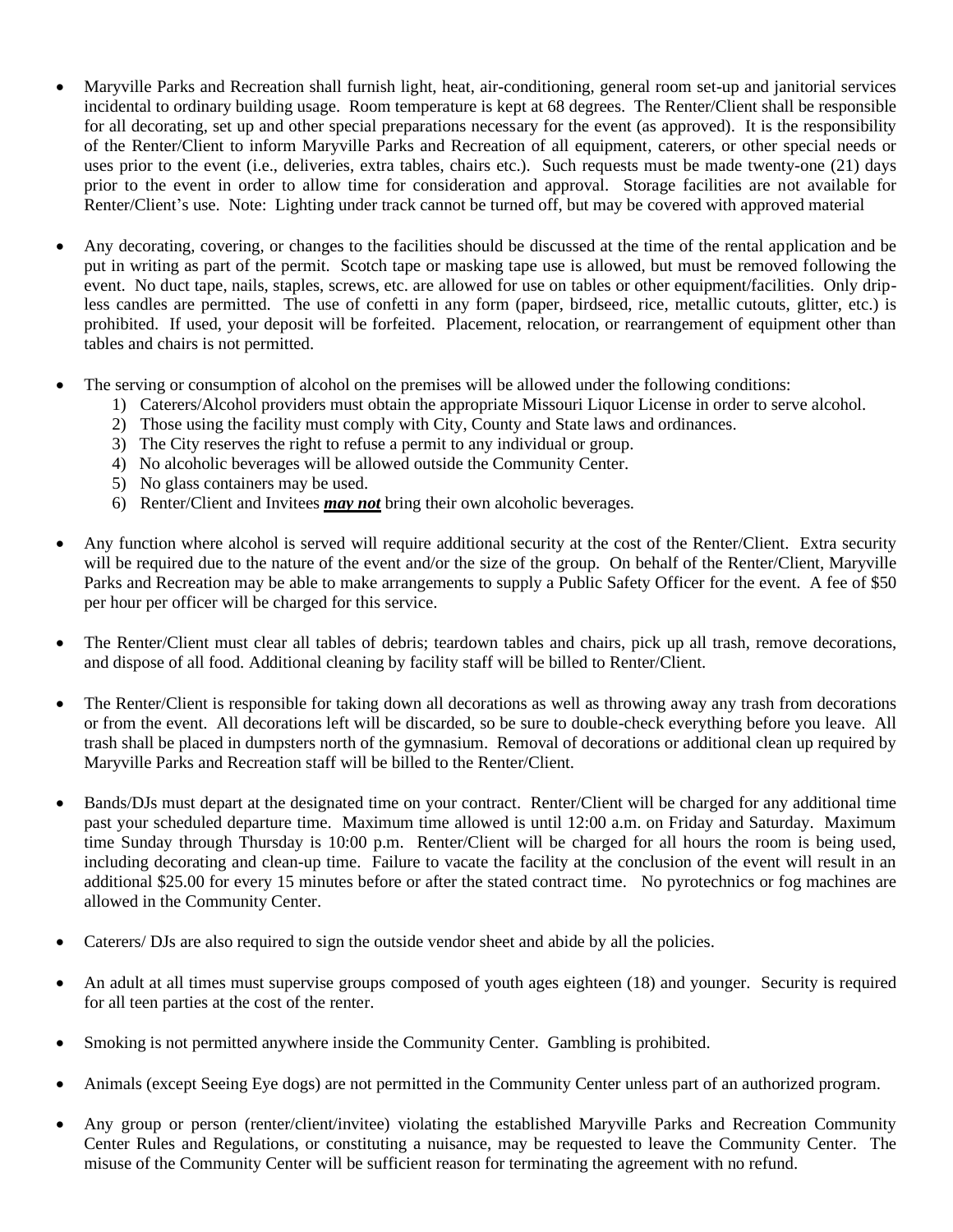- Maryville Parks and Recreation shall furnish light, heat, air-conditioning, general room set-up and janitorial services incidental to ordinary building usage. Room temperature is kept at 68 degrees. The Renter/Client shall be responsible for all decorating, set up and other special preparations necessary for the event (as approved). It is the responsibility of the Renter/Client to inform Maryville Parks and Recreation of all equipment, caterers, or other special needs or uses prior to the event (i.e., deliveries, extra tables, chairs etc.). Such requests must be made twenty-one (21) days prior to the event in order to allow time for consideration and approval. Storage facilities are not available for Renter/Client's use. Note: Lighting under track cannot be turned off, but may be covered with approved material
- Any decorating, covering, or changes to the facilities should be discussed at the time of the rental application and be put in writing as part of the permit. Scotch tape or masking tape use is allowed, but must be removed following the event. No duct tape, nails, staples, screws, etc. are allowed for use on tables or other equipment/facilities. Only dripless candles are permitted. The use of confetti in any form (paper, birdseed, rice, metallic cutouts, glitter, etc.) is prohibited. If used, your deposit will be forfeited. Placement, relocation, or rearrangement of equipment other than tables and chairs is not permitted.
- The serving or consumption of alcohol on the premises will be allowed under the following conditions:
	- 1) Caterers/Alcohol providers must obtain the appropriate Missouri Liquor License in order to serve alcohol.
	- 2) Those using the facility must comply with City, County and State laws and ordinances.
	- 3) The City reserves the right to refuse a permit to any individual or group.
	- 4) No alcoholic beverages will be allowed outside the Community Center.
	- 5) No glass containers may be used.
	- 6) Renter/Client and Invitees *may not* bring their own alcoholic beverages.
- Any function where alcohol is served will require additional security at the cost of the Renter/Client. Extra security will be required due to the nature of the event and/or the size of the group. On behalf of the Renter/Client, Maryville Parks and Recreation may be able to make arrangements to supply a Public Safety Officer for the event. A fee of \$50 per hour per officer will be charged for this service.
- The Renter/Client must clear all tables of debris; teardown tables and chairs, pick up all trash, remove decorations, and dispose of all food. Additional cleaning by facility staff will be billed to Renter/Client.
- The Renter/Client is responsible for taking down all decorations as well as throwing away any trash from decorations or from the event. All decorations left will be discarded, so be sure to double-check everything before you leave. All trash shall be placed in dumpsters north of the gymnasium. Removal of decorations or additional clean up required by Maryville Parks and Recreation staff will be billed to the Renter/Client.
- Bands/DJs must depart at the designated time on your contract. Renter/Client will be charged for any additional time past your scheduled departure time. Maximum time allowed is until 12:00 a.m. on Friday and Saturday. Maximum time Sunday through Thursday is 10:00 p.m. Renter/Client will be charged for all hours the room is being used, including decorating and clean-up time. Failure to vacate the facility at the conclusion of the event will result in an additional \$25.00 for every 15 minutes before or after the stated contract time. No pyrotechnics or fog machines are allowed in the Community Center.
- Caterers/ DJs are also required to sign the outside vendor sheet and abide by all the policies.
- An adult at all times must supervise groups composed of youth ages eighteen (18) and younger. Security is required for all teen parties at the cost of the renter.
- Smoking is not permitted anywhere inside the Community Center. Gambling is prohibited.
- Animals (except Seeing Eye dogs) are not permitted in the Community Center unless part of an authorized program.
- Any group or person (renter/client/invitee) violating the established Maryville Parks and Recreation Community Center Rules and Regulations, or constituting a nuisance, may be requested to leave the Community Center. The misuse of the Community Center will be sufficient reason for terminating the agreement with no refund.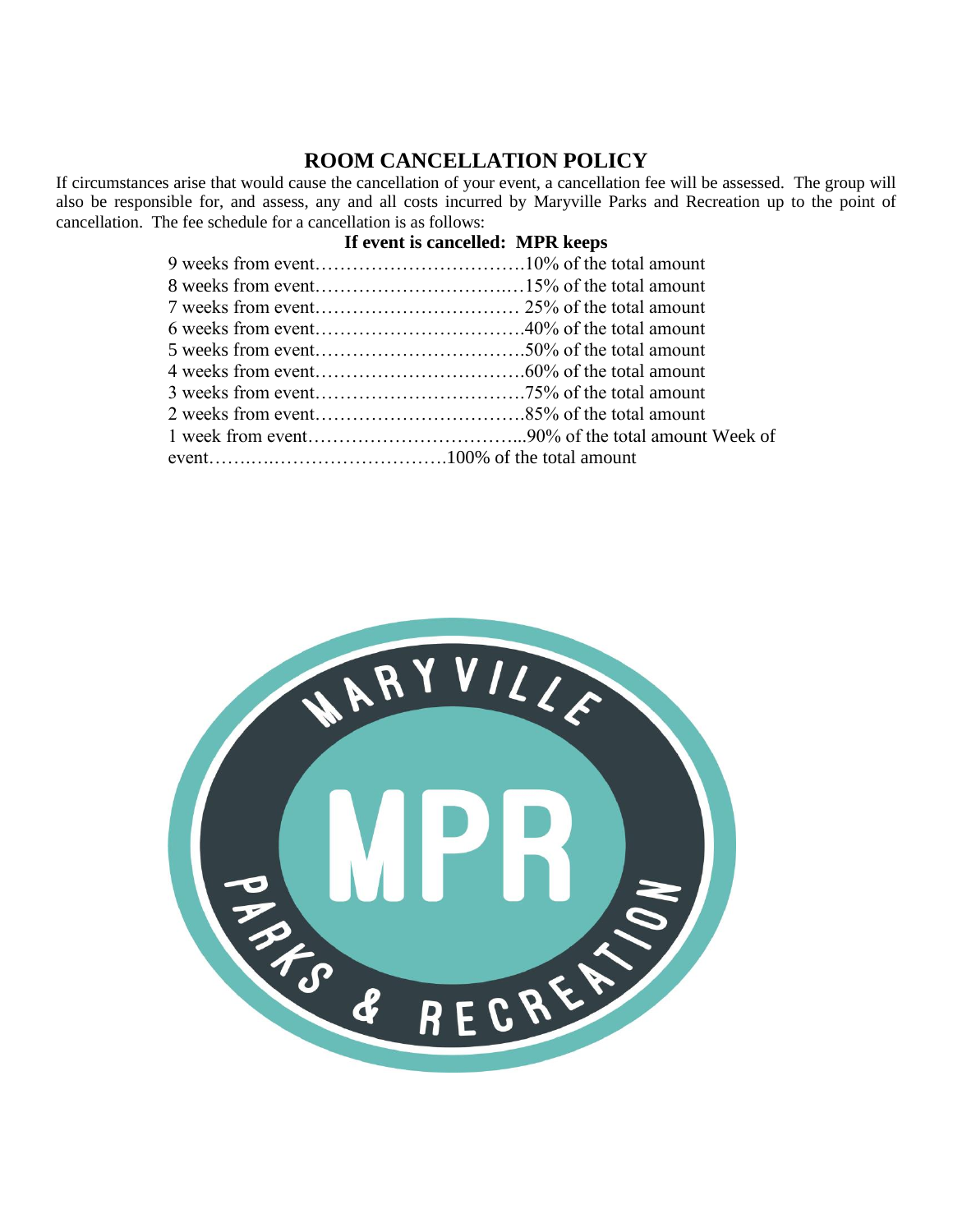### **ROOM CANCELLATION POLICY**

If circumstances arise that would cause the cancellation of your event, a cancellation fee will be assessed. The group will also be responsible for, and assess, any and all costs incurred by Maryville Parks and Recreation up to the point of cancellation. The fee schedule for a cancellation is as follows:

#### **If event is cancelled: MPR keeps**

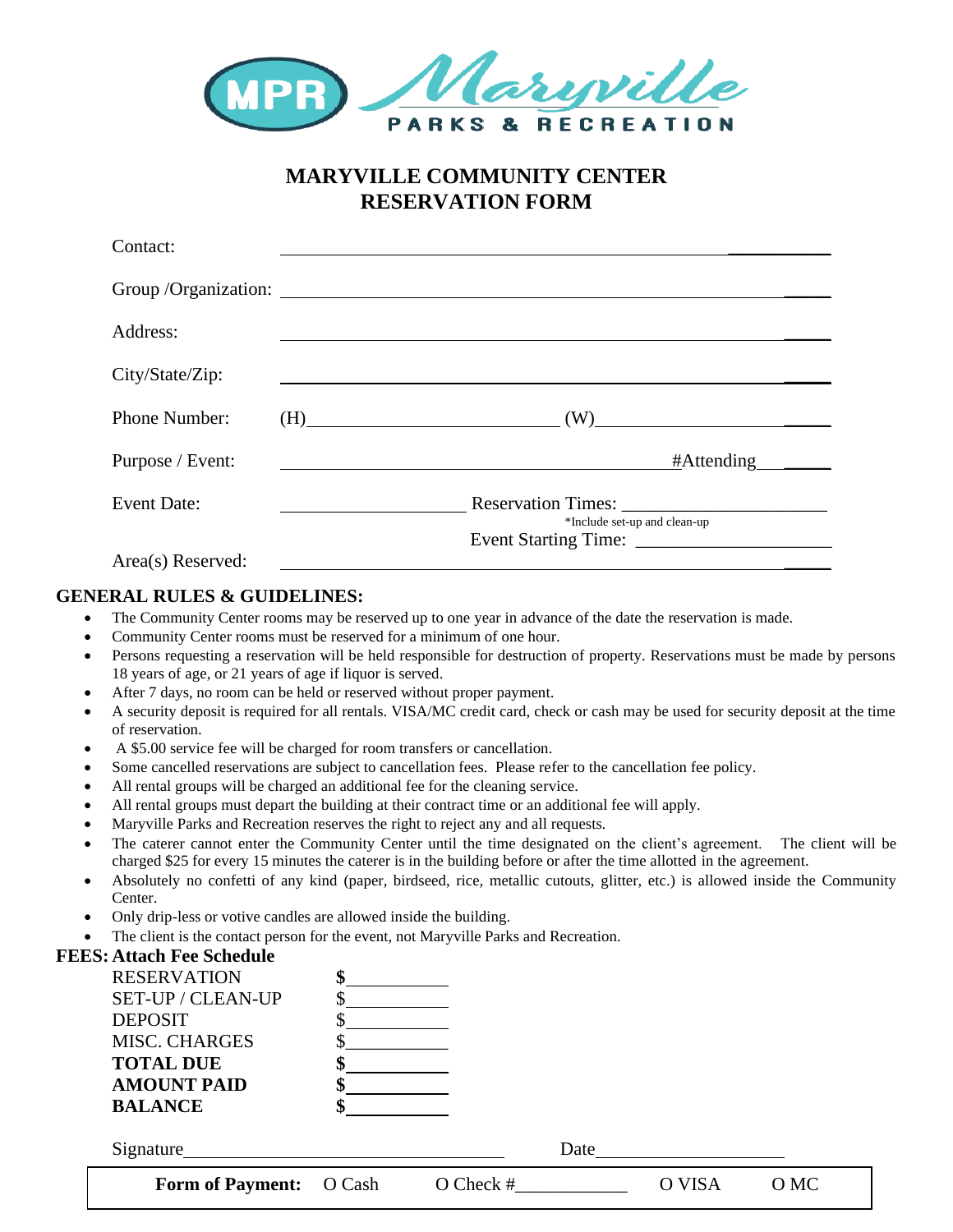

## **MARYVILLE COMMUNITY CENTER RESERVATION FORM**

| Contact:           |                                                    |
|--------------------|----------------------------------------------------|
|                    |                                                    |
| Address:           |                                                    |
| City/State/Zip:    |                                                    |
| Phone Number:      | $(H) \qquad \qquad \overbrace{\qquad \qquad }$     |
| Purpose / Event:   | #Attending ______                                  |
| <b>Event Date:</b> | Reservation Times:<br>*Include set-up and clean-up |
| Area(s) Reserved:  |                                                    |

#### **GENERAL RULES & GUIDELINES:**

- The Community Center rooms may be reserved up to one year in advance of the date the reservation is made.
- Community Center rooms must be reserved for a minimum of one hour.
- Persons requesting a reservation will be held responsible for destruction of property. Reservations must be made by persons 18 years of age, or 21 years of age if liquor is served.
- After 7 days, no room can be held or reserved without proper payment.
- A security deposit is required for all rentals. VISA/MC credit card, check or cash may be used for security deposit at the time of reservation.
- A \$5.00 service fee will be charged for room transfers or cancellation.
- Some cancelled reservations are subject to cancellation fees. Please refer to the cancellation fee policy.
- All rental groups will be charged an additional fee for the cleaning service.
- All rental groups must depart the building at their contract time or an additional fee will apply.
- Maryville Parks and Recreation reserves the right to reject any and all requests.
- The caterer cannot enter the Community Center until the time designated on the client's agreement. The client will be charged \$25 for every 15 minutes the caterer is in the building before or after the time allotted in the agreement.
- Absolutely no confetti of any kind (paper, birdseed, rice, metallic cutouts, glitter, etc.) is allowed inside the Community Center.
- Only drip-less or votive candles are allowed inside the building.
- The client is the contact person for the event, not Maryville Parks and Recreation.

| <b>FEES: Attach Fee Schedule</b> |        |             |      |        |      |
|----------------------------------|--------|-------------|------|--------|------|
| <b>RESERVATION</b>               | \$     |             |      |        |      |
| SET-UP / CLEAN-UP                |        |             |      |        |      |
| <b>DEPOSIT</b>                   |        |             |      |        |      |
| <b>MISC. CHARGES</b>             |        |             |      |        |      |
| <b>TOTAL DUE</b>                 |        |             |      |        |      |
| <b>AMOUNT PAID</b>               |        |             |      |        |      |
| <b>BALANCE</b>                   |        |             |      |        |      |
| Signature                        |        |             | Date |        |      |
| <b>Form of Payment:</b>          | O Cash | $O$ Check # |      | O VISA | O MC |